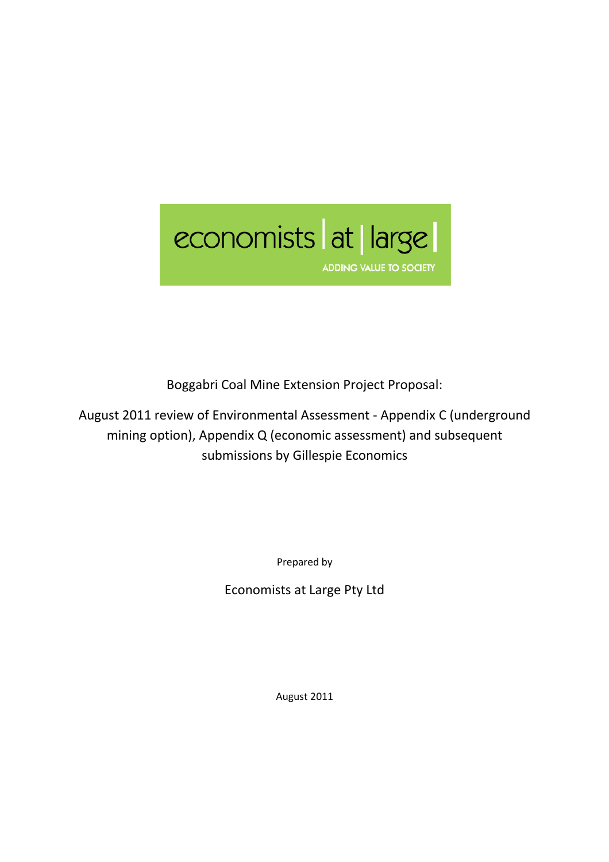

Boggabri Coal Mine Extension Project Proposal:

August 2011 review of Environmental Assessment - Appendix C (underground mining option), Appendix Q (economic assessment) and subsequent submissions by Gillespie Economics

Prepared by

Economists at Large Pty Ltd

August 2011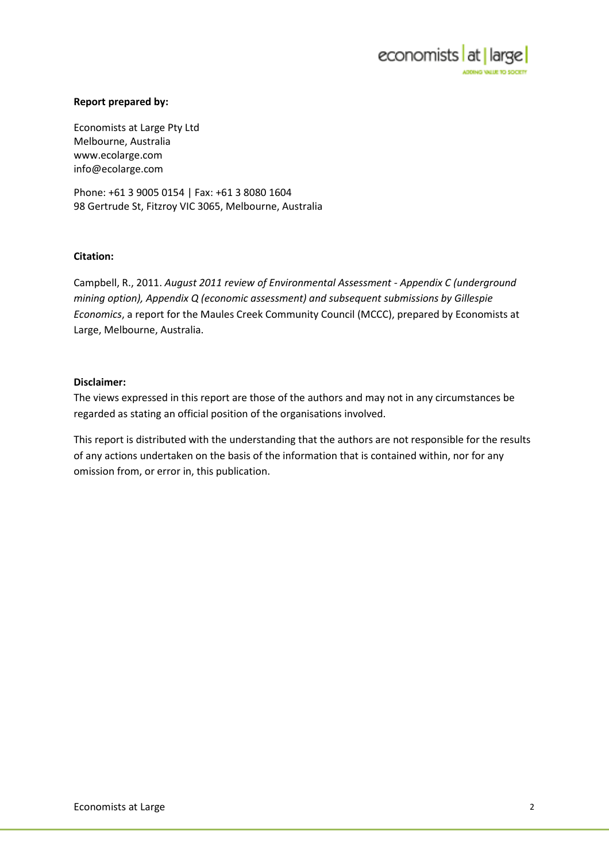

#### Report prepared by:

Economists at Large Pty Ltd Melbourne, Australia www.ecolarge.com info@ecolarge.com

Phone: +61 3 9005 0154 | Fax: +61 3 8080 1604 98 Gertrude St, Fitzroy VIC 3065, Melbourne, Australia

#### Citation:

Campbell, R., 2011. August 2011 review of Environmental Assessment - Appendix C (underground mining option), Appendix Q (economic assessment) and subsequent submissions by Gillespie Economics, a report for the Maules Creek Community Council (MCCC), prepared by Economists at Large, Melbourne, Australia.

#### Disclaimer:

The views expressed in this report are those of the authors and may not in any circumstances be regarded as stating an official position of the organisations involved.

This report is distributed with the understanding that the authors are not responsible for the results of any actions undertaken on the basis of the information that is contained within, nor for any omission from, or error in, this publication.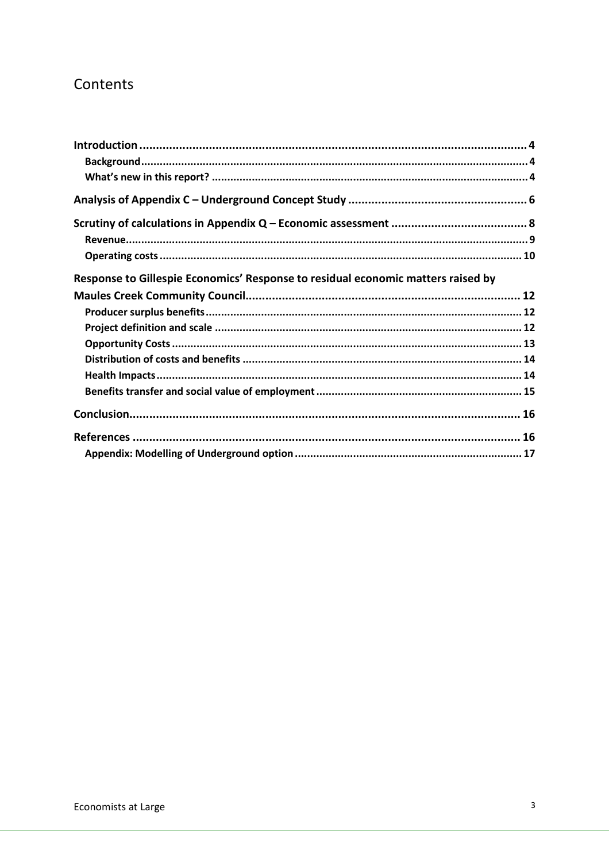# Contents

| Response to Gillespie Economics' Response to residual economic matters raised by |  |
|----------------------------------------------------------------------------------|--|
|                                                                                  |  |
|                                                                                  |  |
|                                                                                  |  |
|                                                                                  |  |
|                                                                                  |  |
|                                                                                  |  |
|                                                                                  |  |
|                                                                                  |  |
|                                                                                  |  |
|                                                                                  |  |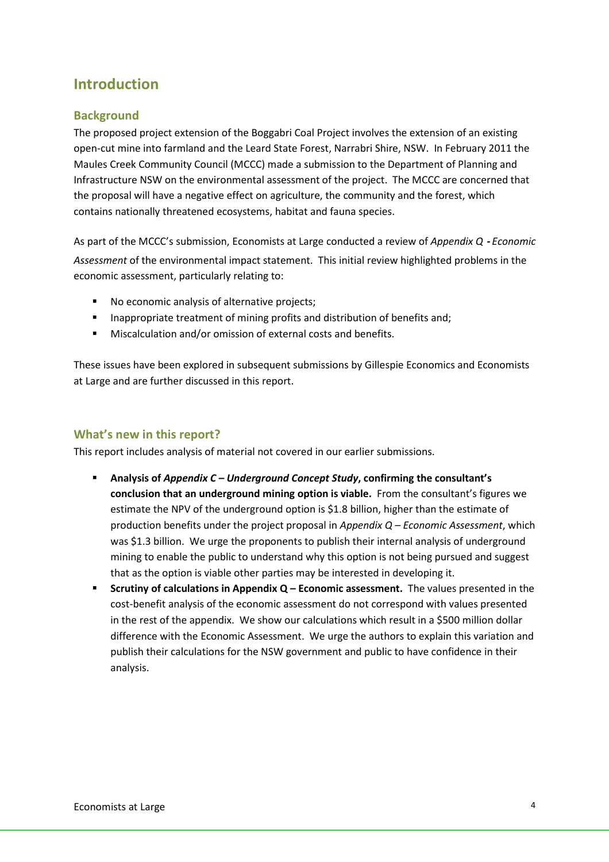# Introduction

## **Background**

The proposed project extension of the Boggabri Coal Project involves the extension of an existing open-cut mine into farmland and the Leard State Forest, Narrabri Shire, NSW. In February 2011 the Maules Creek Community Council (MCCC) made a submission to the Department of Planning and Infrastructure NSW on the environmental assessment of the project. The MCCC are concerned that the proposal will have a negative effect on agriculture, the community and the forest, which contains nationally threatened ecosystems, habitat and fauna species.

As part of the MCCC's submission, Economists at Large conducted a review of Appendix Q - Economic Assessment of the environmental impact statement. This initial review highlighted problems in the economic assessment, particularly relating to:

- No economic analysis of alternative projects;
- **Inappropriate treatment of mining profits and distribution of benefits and;**
- Miscalculation and/or omission of external costs and benefits.

These issues have been explored in subsequent submissions by Gillespie Economics and Economists at Large and are further discussed in this report.

## What's new in this report?

This report includes analysis of material not covered in our earlier submissions.

- Analysis of Appendix  $C -$  Underground Concept Study, confirming the consultant's conclusion that an underground mining option is viable. From the consultant's figures we estimate the NPV of the underground option is \$1.8 billion, higher than the estimate of production benefits under the project proposal in Appendix  $Q$  – Economic Assessment, which was \$1.3 billion. We urge the proponents to publish their internal analysis of underground mining to enable the public to understand why this option is not being pursued and suggest that as the option is viable other parties may be interested in developing it.
- Scrutiny of calculations in Appendix  $Q$  Economic assessment. The values presented in the cost-benefit analysis of the economic assessment do not correspond with values presented in the rest of the appendix. We show our calculations which result in a \$500 million dollar difference with the Economic Assessment. We urge the authors to explain this variation and publish their calculations for the NSW government and public to have confidence in their analysis.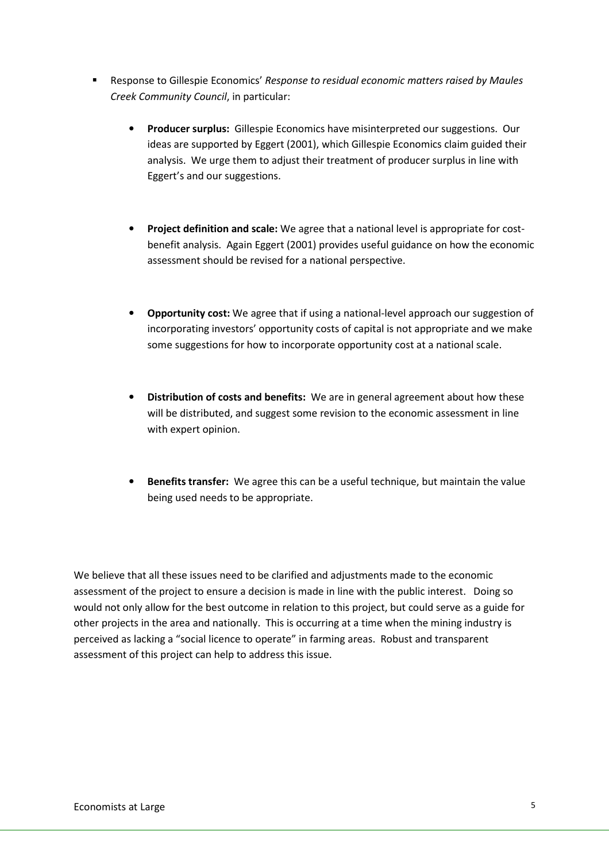- **Response to Gillespie Economics' Response to residual economic matters raised by Maules** Creek Community Council, in particular:
	- Producer surplus: Gillespie Economics have misinterpreted our suggestions. Our ideas are supported by Eggert (2001), which Gillespie Economics claim guided their analysis. We urge them to adjust their treatment of producer surplus in line with Eggert's and our suggestions.
	- Project definition and scale: We agree that a national level is appropriate for costbenefit analysis. Again Eggert (2001) provides useful guidance on how the economic assessment should be revised for a national perspective.
	- Opportunity cost: We agree that if using a national-level approach our suggestion of incorporating investors' opportunity costs of capital is not appropriate and we make some suggestions for how to incorporate opportunity cost at a national scale.
	- Distribution of costs and benefits: We are in general agreement about how these will be distributed, and suggest some revision to the economic assessment in line with expert opinion.
	- Benefits transfer: We agree this can be a useful technique, but maintain the value being used needs to be appropriate.

We believe that all these issues need to be clarified and adjustments made to the economic assessment of the project to ensure a decision is made in line with the public interest. Doing so would not only allow for the best outcome in relation to this project, but could serve as a guide for other projects in the area and nationally. This is occurring at a time when the mining industry is perceived as lacking a "social licence to operate" in farming areas. Robust and transparent assessment of this project can help to address this issue.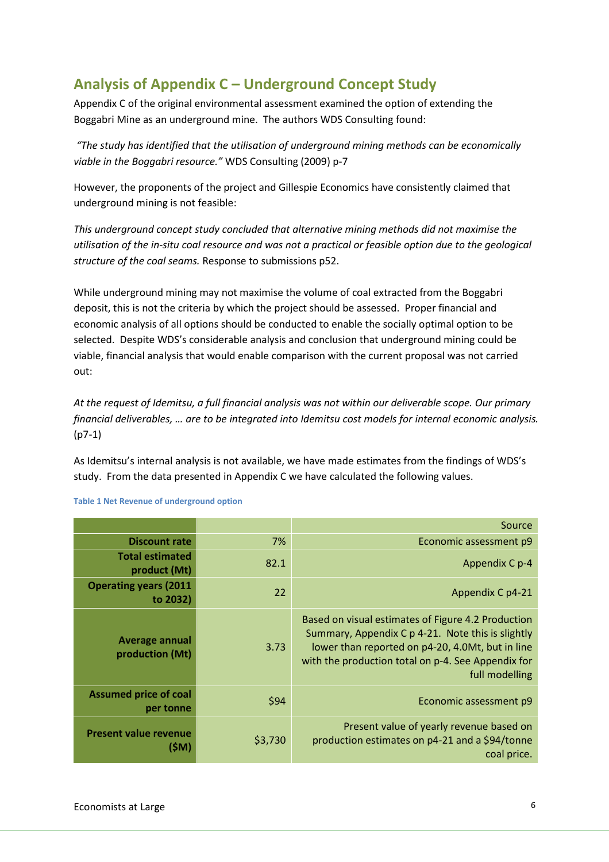# Analysis of Appendix C – Underground Concept Study

Appendix C of the original environmental assessment examined the option of extending the Boggabri Mine as an underground mine. The authors WDS Consulting found:

 "The study has identified that the utilisation of underground mining methods can be economically viable in the Boggabri resource." WDS Consulting (2009) p-7

However, the proponents of the project and Gillespie Economics have consistently claimed that underground mining is not feasible:

This underground concept study concluded that alternative mining methods did not maximise the utilisation of the in-situ coal resource and was not a practical or feasible option due to the geological structure of the coal seams. Response to submissions p52.

While underground mining may not maximise the volume of coal extracted from the Boggabri deposit, this is not the criteria by which the project should be assessed. Proper financial and economic analysis of all options should be conducted to enable the socially optimal option to be selected. Despite WDS's considerable analysis and conclusion that underground mining could be viable, financial analysis that would enable comparison with the current proposal was not carried out:

At the request of Idemitsu, a full financial analysis was not within our deliverable scope. Our primary financial deliverables, … are to be integrated into Idemitsu cost models for internal economic analysis. (p7-1)

As Idemitsu's internal analysis is not available, we have made estimates from the findings of WDS's study. From the data presented in Appendix C we have calculated the following values.

|                                           |         | Source                                                                                                                                                                                                                              |  |  |  |  |  |
|-------------------------------------------|---------|-------------------------------------------------------------------------------------------------------------------------------------------------------------------------------------------------------------------------------------|--|--|--|--|--|
| <b>Discount rate</b>                      | 7%      | Economic assessment p9                                                                                                                                                                                                              |  |  |  |  |  |
| <b>Total estimated</b><br>product (Mt)    | 82.1    | Appendix C p-4                                                                                                                                                                                                                      |  |  |  |  |  |
| <b>Operating years (2011</b><br>to 2032)  | 22      | Appendix C p4-21                                                                                                                                                                                                                    |  |  |  |  |  |
| Average annual<br>production (Mt)         | 3.73    | Based on visual estimates of Figure 4.2 Production<br>Summary, Appendix C p 4-21. Note this is slightly<br>lower than reported on p4-20, 4.0Mt, but in line<br>with the production total on p-4. See Appendix for<br>full modelling |  |  |  |  |  |
| <b>Assumed price of coal</b><br>per tonne | \$94    | Economic assessment p9                                                                                                                                                                                                              |  |  |  |  |  |
| <b>Present value revenue</b><br>(SM)      | \$3,730 | Present value of yearly revenue based on<br>production estimates on p4-21 and a \$94/tonne<br>coal price.                                                                                                                           |  |  |  |  |  |

Table 1 Net Revenue of underground option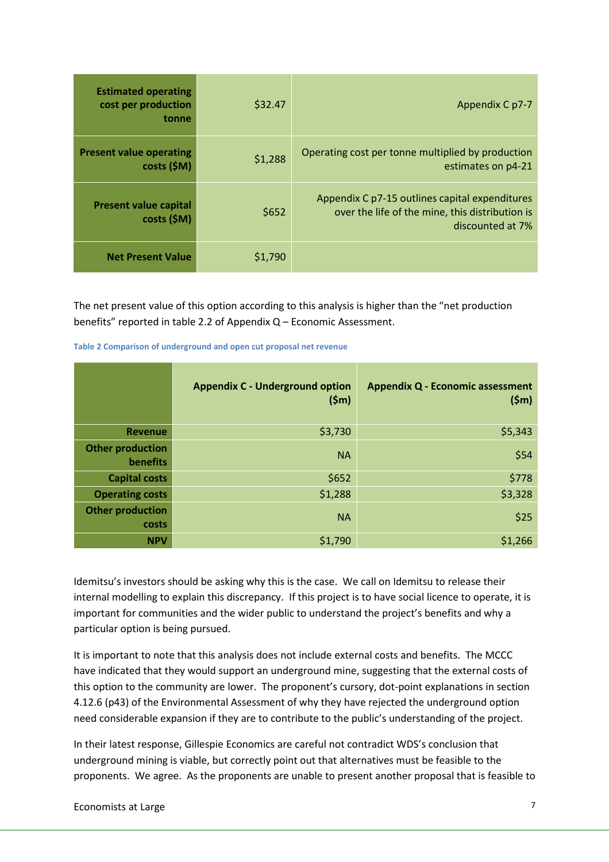| <b>Estimated operating</b><br>cost per production<br><b>tonne</b> | \$32.47 | Appendix C p7-7                                                                                                       |
|-------------------------------------------------------------------|---------|-----------------------------------------------------------------------------------------------------------------------|
| <b>Present value operating</b><br>$costs$ (\$M)                   | \$1,288 | Operating cost per tonne multiplied by production<br>estimates on p4-21                                               |
| <b>Present value capital</b><br>$costs$ (\$M)                     | \$652   | Appendix C p7-15 outlines capital expenditures<br>over the life of the mine, this distribution is<br>discounted at 7% |
| <b>Net Present Value</b>                                          | \$1,790 |                                                                                                                       |

The net present value of this option according to this analysis is higher than the "net production benefits" reported in table 2.2 of Appendix Q – Economic Assessment.

|  |  | Table 2 Comparison of underground and open cut proposal net revenue |  |  |
|--|--|---------------------------------------------------------------------|--|--|
|  |  |                                                                     |  |  |

|                                     | <b>Appendix C - Underground option</b><br>(5m) | <b>Appendix Q - Economic assessment</b><br>(5m) |
|-------------------------------------|------------------------------------------------|-------------------------------------------------|
| <b>Revenue</b>                      | \$3,730                                        | \$5,343                                         |
| <b>Other production</b><br>benefits | <b>NA</b>                                      | \$54                                            |
| <b>Capital costs</b>                | \$652                                          | \$778                                           |
| <b>Operating costs</b>              | \$1,288                                        | \$3,328                                         |
| <b>Other production</b><br>costs    | <b>NA</b>                                      | \$25                                            |
| <b>NPV</b>                          | \$1,790                                        | \$1,266                                         |

Idemitsu's investors should be asking why this is the case. We call on Idemitsu to release their internal modelling to explain this discrepancy. If this project is to have social licence to operate, it is important for communities and the wider public to understand the project's benefits and why a particular option is being pursued.

It is important to note that this analysis does not include external costs and benefits. The MCCC have indicated that they would support an underground mine, suggesting that the external costs of this option to the community are lower. The proponent's cursory, dot-point explanations in section 4.12.6 (p43) of the Environmental Assessment of why they have rejected the underground option need considerable expansion if they are to contribute to the public's understanding of the project.

In their latest response, Gillespie Economics are careful not contradict WDS's conclusion that underground mining is viable, but correctly point out that alternatives must be feasible to the proponents. We agree. As the proponents are unable to present another proposal that is feasible to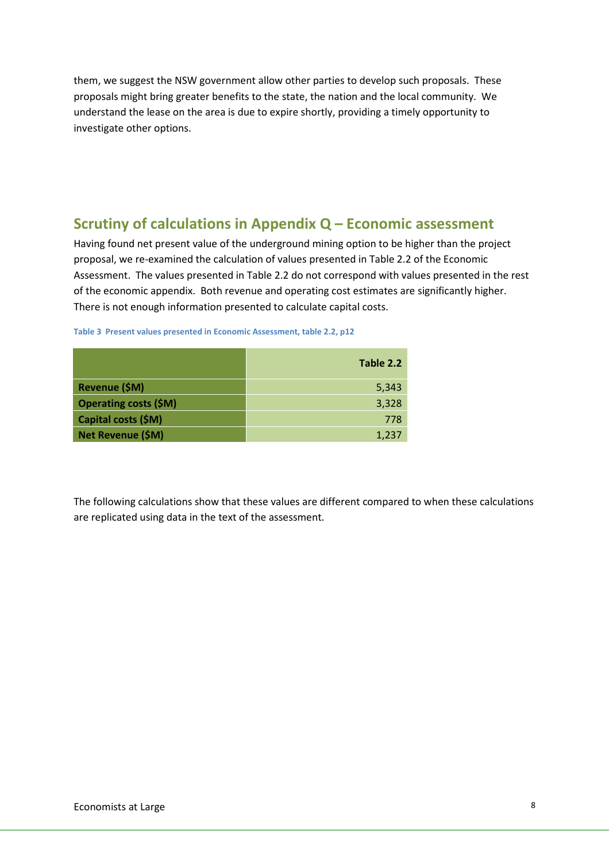them, we suggest the NSW government allow other parties to develop such proposals. These proposals might bring greater benefits to the state, the nation and the local community. We understand the lease on the area is due to expire shortly, providing a timely opportunity to investigate other options.

# Scrutiny of calculations in Appendix Q – Economic assessment

Having found net present value of the underground mining option to be higher than the project proposal, we re-examined the calculation of values presented in Table 2.2 of the Economic Assessment. The values presented in Table 2.2 do not correspond with values presented in the rest of the economic appendix. Both revenue and operating cost estimates are significantly higher. There is not enough information presented to calculate capital costs.

| Table 3 Present values presented in Economic Assessment, table 2.2, p12 |  |  |  |  |  |  |
|-------------------------------------------------------------------------|--|--|--|--|--|--|
|-------------------------------------------------------------------------|--|--|--|--|--|--|

|                              | Table 2.2 |
|------------------------------|-----------|
| Revenue (\$M)                | 5,343     |
| <b>Operating costs (\$M)</b> | 3,328     |
| Capital costs (\$M)          | 778       |
| Net Revenue (\$M)            | 1,237     |

The following calculations show that these values are different compared to when these calculations are replicated using data in the text of the assessment.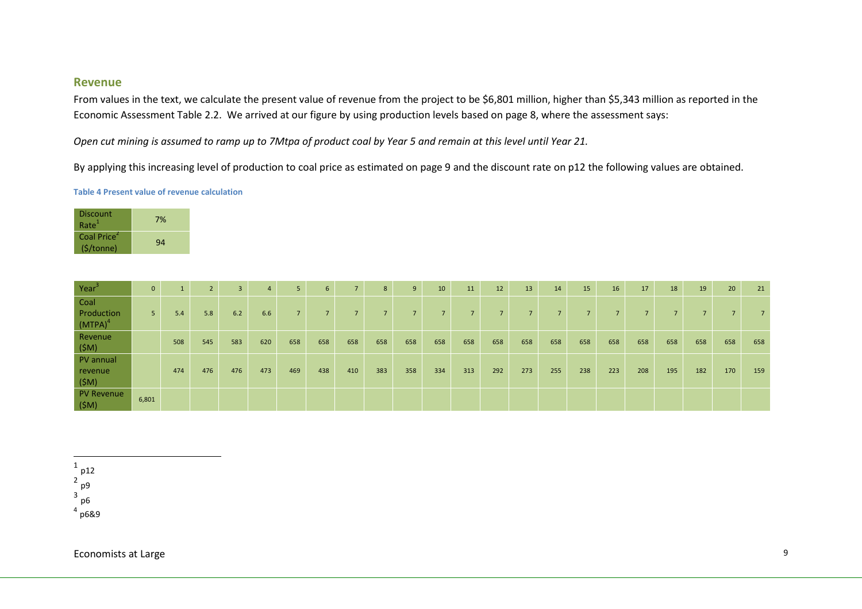#### Revenue

From values in the text, we calculate the present value of revenue from the project to be \$6,801 million, higher than \$5,343 million as reported in the Economic Assessment Table 2.2. We arrived at our figure by using production levels based on page 8, where the assessment says:

Open cut mining is assumed to ramp up to 7Mtpa of product coal by Year 5 and remain at this level until Year 21.

By applying this increasing level of production to coal price as estimated on page 9 and the discount rate on p12 the following values are obtained.

#### Table 4 Present value of revenue calculation

| 7% |
|----|
| 94 |
|    |

| Year <sup>3</sup>                | $\mathbf{0}$   |     | $\overline{2}$ | 3   | 4   | 5 <sub>1</sub> | 6              | $\overline{7}$ | 8   | 9              | 10  | 11  | 12             | 13             | 14                       | 15  | 16                       | 17             | 18  | 19  | 20             | 21  |
|----------------------------------|----------------|-----|----------------|-----|-----|----------------|----------------|----------------|-----|----------------|-----|-----|----------------|----------------|--------------------------|-----|--------------------------|----------------|-----|-----|----------------|-----|
| Coal<br>Production<br>$(MTPA)^4$ | 5 <sub>1</sub> | 5.4 | 5.8            | 6.2 | 6.6 | 7 <sup>1</sup> | $\overline{7}$ | $\overline{7}$ | -   | $\overline{7}$ | 7   |     | $\overline{ }$ | $\overline{z}$ | $\overline{\phantom{a}}$ | -   | $\overline{\phantom{a}}$ | $\overline{7}$ |     |     | $\overline{ }$ |     |
| Revenue<br>$(\$M)$               |                | 508 | 545            | 583 | 620 | 658            | 658            | 658            | 658 | 658            | 658 | 658 | 658            | 658            | 658                      | 658 | 658                      | 658            | 658 | 658 | 658            | 658 |
| PV annual<br>revenue<br>$(\$M)$  |                | 474 | 476            | 476 | 473 | 469            | 438            | 410            | 383 | 358            | 334 | 313 | 292            | 273            | 255                      | 238 | 223                      | 208            | 195 | 182 | 170            | 159 |
| PV Revenue<br>$(\$M)$            | 6,801          |     |                |     |     |                |                |                |     |                |     |     |                |                |                          |     |                          |                |     |     |                |     |

 $^{\rm 1}$  p12  $2p9$ 3 p6 $^4$  p6&9 4

Economists at Large 9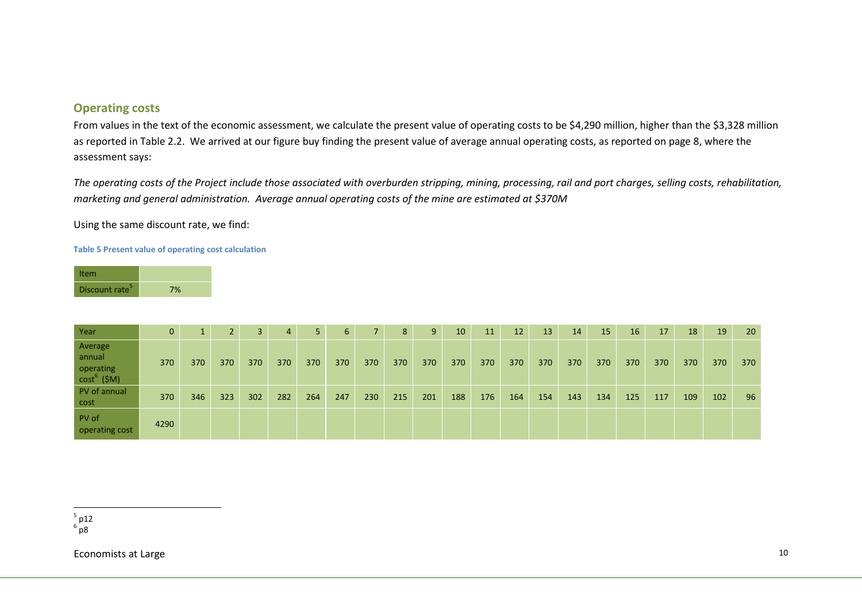#### Operating costs

From values in the text of the economic assessment, we calculate the present value of operating costs to be \$4,290 million, higher than the \$3,328 million as reported in Table 2.2. We arrived at our figure buy finding the present value of average annual operating costs, as reported on page 8, where the assessment says:

The operating costs of the Project include those associated with overburden stripping, mining, processing, rail and port charges, selling costs, rehabilitation, marketing and general administration. Average annual operating costs of the mine are estimated at \$370M

Using the same discount rate, we find:

#### Table 5 Present value of operating cost calculation

| Item                       |    |
|----------------------------|----|
| Discount rate <sup>3</sup> | 7% |

| Year                                                      | $\mathbf{0}$ |     |     |     | 4   | 5   | 6   |     | 8   | 9   | 10 <sup>°</sup> | 11  | 12  | 13  | 14  | 15  | 16  | 17  | 18  | 19  | 20  |
|-----------------------------------------------------------|--------------|-----|-----|-----|-----|-----|-----|-----|-----|-----|-----------------|-----|-----|-----|-----|-----|-----|-----|-----|-----|-----|
| Average<br>annual<br>operating<br>cost <sup>6</sup> (\$M) | 370          | 370 | 370 | 370 | 370 | 370 | 370 | 370 | 370 | 370 | 370             | 370 | 370 | 370 | 370 | 370 | 370 | 370 | 370 | 370 | 370 |
| PV of annual<br>cost                                      | 370          | 346 | 323 | 302 | 282 | 264 | 247 | 230 | 215 | 201 | 188             | 176 | 164 | 154 | 143 | 134 | 125 | 117 | 109 | 102 | 96  |
| PV of<br>operating cost                                   | 4290         |     |     |     |     |     |     |     |     |     |                 |     |     |     |     |     |     |     |     |     |     |

<sup>5</sup> p12<br><sup>6</sup> p8

Economists at Large 10 and 20 and 20 and 20 and 20 and 20 and 20 and 20 and 20 and 20 and 20 and 20 and 20 and 20 and 20 and 20 and 20 and 20 and 20 and 20 and 20 and 20 and 20 and 20 and 20 and 20 and 20 and 20 and 20 and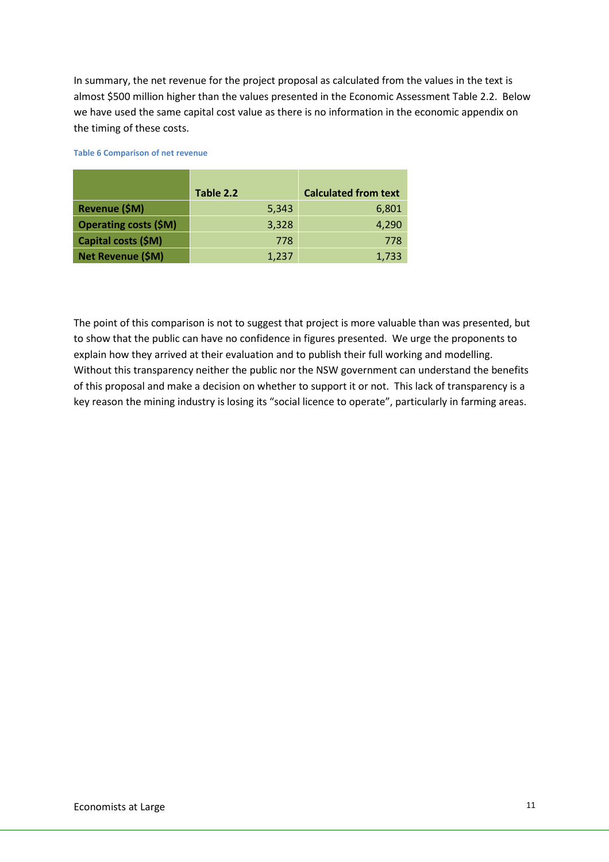In summary, the net revenue for the project proposal as calculated from the values in the text is almost \$500 million higher than the values presented in the Economic Assessment Table 2.2. Below we have used the same capital cost value as there is no information in the economic appendix on the timing of these costs.

|                              | Table 2.2 | <b>Calculated from text</b> |
|------------------------------|-----------|-----------------------------|
| Revenue (\$M)                | 5,343     | 6,801                       |
| <b>Operating costs (\$M)</b> | 3,328     | 4,290                       |
| Capital costs (\$M)          | 778       | 778                         |
| Net Revenue (\$M)            | 1,237     | 1,733                       |

Table 6 Comparison of net revenue

The point of this comparison is not to suggest that project is more valuable than was presented, but to show that the public can have no confidence in figures presented. We urge the proponents to explain how they arrived at their evaluation and to publish their full working and modelling. Without this transparency neither the public nor the NSW government can understand the benefits of this proposal and make a decision on whether to support it or not. This lack of transparency is a key reason the mining industry is losing its "social licence to operate", particularly in farming areas.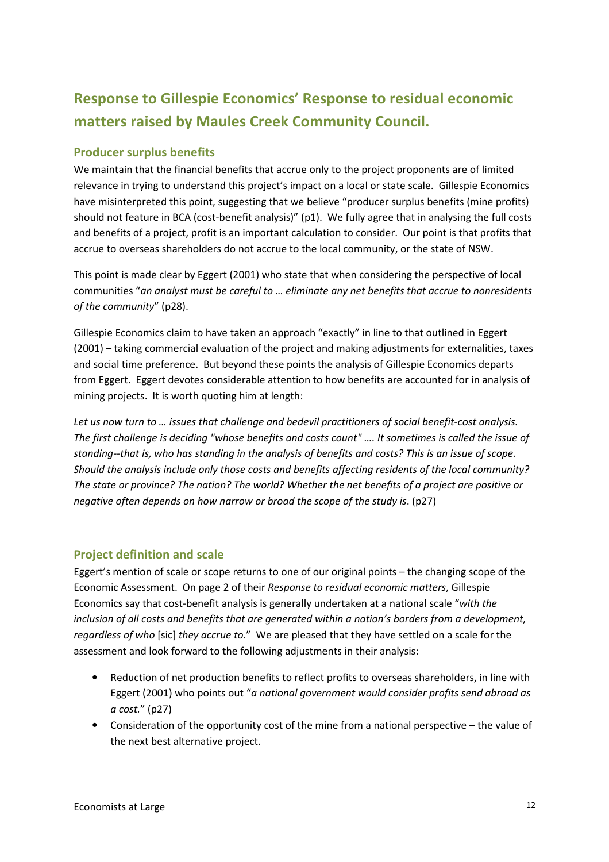# Response to Gillespie Economics' Response to residual economic matters raised by Maules Creek Community Council.

## Producer surplus benefits

We maintain that the financial benefits that accrue only to the project proponents are of limited relevance in trying to understand this project's impact on a local or state scale. Gillespie Economics have misinterpreted this point, suggesting that we believe "producer surplus benefits (mine profits) should not feature in BCA (cost-benefit analysis)" (p1). We fully agree that in analysing the full costs and benefits of a project, profit is an important calculation to consider. Our point is that profits that accrue to overseas shareholders do not accrue to the local community, or the state of NSW.

This point is made clear by Eggert (2001) who state that when considering the perspective of local communities "an analyst must be careful to … eliminate any net benefits that accrue to nonresidents of the community" (p28).

Gillespie Economics claim to have taken an approach "exactly" in line to that outlined in Eggert (2001) – taking commercial evaluation of the project and making adjustments for externalities, taxes and social time preference. But beyond these points the analysis of Gillespie Economics departs from Eggert. Eggert devotes considerable attention to how benefits are accounted for in analysis of mining projects. It is worth quoting him at length:

Let us now turn to … issues that challenge and bedevil practitioners of social benefit-cost analysis. The first challenge is deciding "whose benefits and costs count" …. It sometimes is called the issue of standing--that is, who has standing in the analysis of benefits and costs? This is an issue of scope. Should the analysis include only those costs and benefits affecting residents of the local community? The state or province? The nation? The world? Whether the net benefits of a project are positive or negative often depends on how narrow or broad the scope of the study is. (p27)

## Project definition and scale

Eggert's mention of scale or scope returns to one of our original points – the changing scope of the Economic Assessment. On page 2 of their Response to residual economic matters, Gillespie Economics say that cost-benefit analysis is generally undertaken at a national scale "with the inclusion of all costs and benefits that are generated within a nation's borders from a development, regardless of who [sic] they accrue to." We are pleased that they have settled on a scale for the assessment and look forward to the following adjustments in their analysis:

- Reduction of net production benefits to reflect profits to overseas shareholders, in line with Eggert (2001) who points out "a national government would consider profits send abroad as a cost." (p27)
- Consideration of the opportunity cost of the mine from a national perspective the value of the next best alternative project.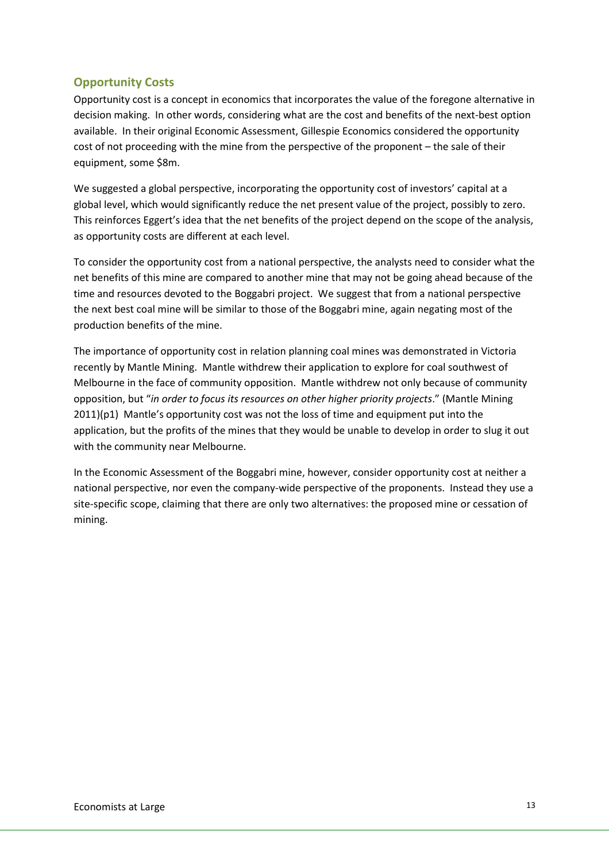## Opportunity Costs

Opportunity cost is a concept in economics that incorporates the value of the foregone alternative in decision making. In other words, considering what are the cost and benefits of the next-best option available. In their original Economic Assessment, Gillespie Economics considered the opportunity cost of not proceeding with the mine from the perspective of the proponent – the sale of their equipment, some \$8m.

We suggested a global perspective, incorporating the opportunity cost of investors' capital at a global level, which would significantly reduce the net present value of the project, possibly to zero. This reinforces Eggert's idea that the net benefits of the project depend on the scope of the analysis, as opportunity costs are different at each level.

To consider the opportunity cost from a national perspective, the analysts need to consider what the net benefits of this mine are compared to another mine that may not be going ahead because of the time and resources devoted to the Boggabri project. We suggest that from a national perspective the next best coal mine will be similar to those of the Boggabri mine, again negating most of the production benefits of the mine.

The importance of opportunity cost in relation planning coal mines was demonstrated in Victoria recently by Mantle Mining. Mantle withdrew their application to explore for coal southwest of Melbourne in the face of community opposition. Mantle withdrew not only because of community opposition, but "in order to focus its resources on other higher priority projects." (Mantle Mining  $2011$ )(p1) Mantle's opportunity cost was not the loss of time and equipment put into the application, but the profits of the mines that they would be unable to develop in order to slug it out with the community near Melbourne.

In the Economic Assessment of the Boggabri mine, however, consider opportunity cost at neither a national perspective, nor even the company-wide perspective of the proponents. Instead they use a site-specific scope, claiming that there are only two alternatives: the proposed mine or cessation of mining.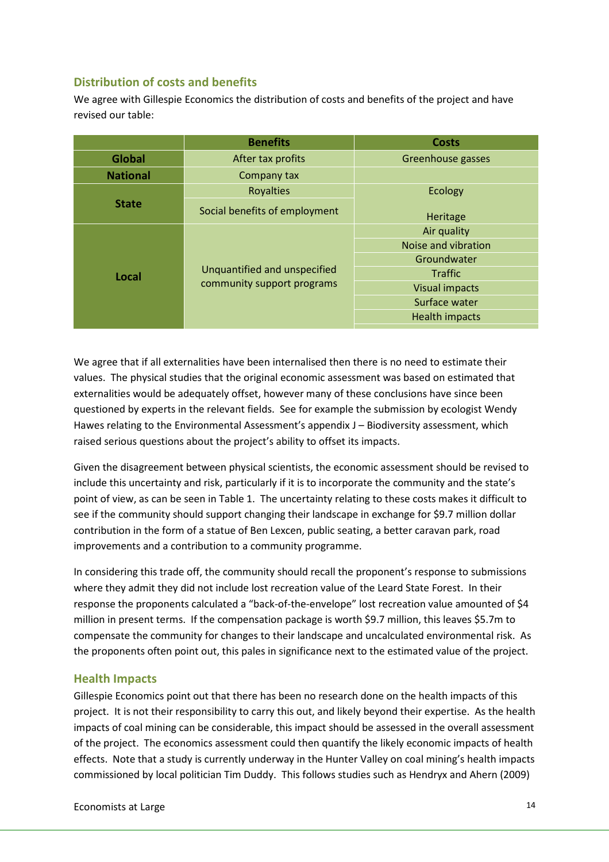## Distribution of costs and benefits

We agree with Gillespie Economics the distribution of costs and benefits of the project and have revised our table:

|                 | <b>Benefits</b>               | <b>Costs</b>          |  |  |  |  |  |  |  |
|-----------------|-------------------------------|-----------------------|--|--|--|--|--|--|--|
| Global          | After tax profits             | Greenhouse gasses     |  |  |  |  |  |  |  |
| <b>National</b> | Company tax                   |                       |  |  |  |  |  |  |  |
|                 | <b>Royalties</b>              | <b>Ecology</b>        |  |  |  |  |  |  |  |
| <b>State</b>    | Social benefits of employment | Heritage              |  |  |  |  |  |  |  |
|                 |                               | Air quality           |  |  |  |  |  |  |  |
|                 |                               | Noise and vibration   |  |  |  |  |  |  |  |
|                 |                               | Groundwater           |  |  |  |  |  |  |  |
| Local           | Unquantified and unspecified  | <b>Traffic</b>        |  |  |  |  |  |  |  |
|                 | community support programs    | <b>Visual impacts</b> |  |  |  |  |  |  |  |
|                 |                               | Surface water         |  |  |  |  |  |  |  |
|                 |                               | <b>Health impacts</b> |  |  |  |  |  |  |  |
|                 |                               |                       |  |  |  |  |  |  |  |

We agree that if all externalities have been internalised then there is no need to estimate their values. The physical studies that the original economic assessment was based on estimated that externalities would be adequately offset, however many of these conclusions have since been questioned by experts in the relevant fields. See for example the submission by ecologist Wendy Hawes relating to the Environmental Assessment's appendix J – Biodiversity assessment, which raised serious questions about the project's ability to offset its impacts.

Given the disagreement between physical scientists, the economic assessment should be revised to include this uncertainty and risk, particularly if it is to incorporate the community and the state's point of view, as can be seen in Table 1. The uncertainty relating to these costs makes it difficult to see if the community should support changing their landscape in exchange for \$9.7 million dollar contribution in the form of a statue of Ben Lexcen, public seating, a better caravan park, road improvements and a contribution to a community programme.

In considering this trade off, the community should recall the proponent's response to submissions where they admit they did not include lost recreation value of the Leard State Forest. In their response the proponents calculated a "back-of-the-envelope" lost recreation value amounted of \$4 million in present terms. If the compensation package is worth \$9.7 million, this leaves \$5.7m to compensate the community for changes to their landscape and uncalculated environmental risk. As the proponents often point out, this pales in significance next to the estimated value of the project.

## Health Impacts

Gillespie Economics point out that there has been no research done on the health impacts of this project. It is not their responsibility to carry this out, and likely beyond their expertise. As the health impacts of coal mining can be considerable, this impact should be assessed in the overall assessment of the project. The economics assessment could then quantify the likely economic impacts of health effects. Note that a study is currently underway in the Hunter Valley on coal mining's health impacts commissioned by local politician Tim Duddy. This follows studies such as Hendryx and Ahern (2009)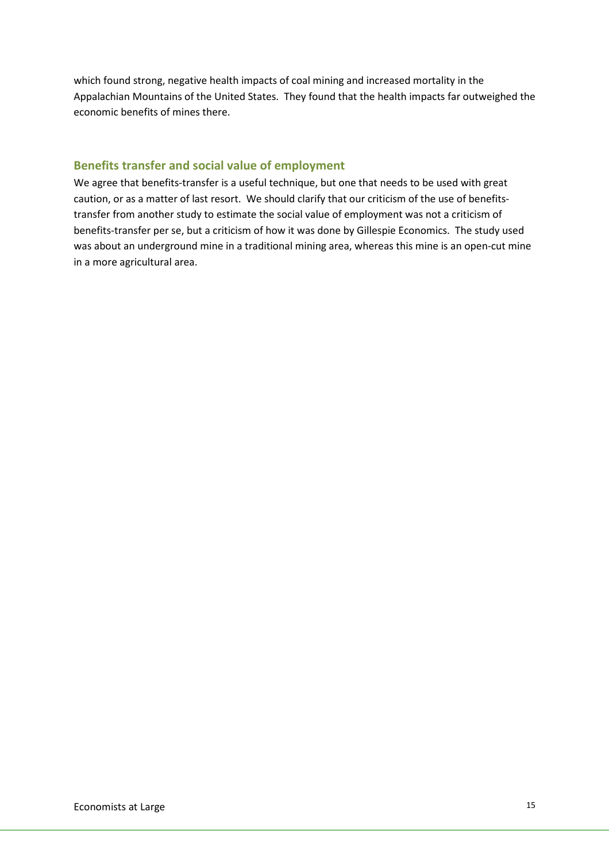which found strong, negative health impacts of coal mining and increased mortality in the Appalachian Mountains of the United States. They found that the health impacts far outweighed the economic benefits of mines there.

#### Benefits transfer and social value of employment

We agree that benefits-transfer is a useful technique, but one that needs to be used with great caution, or as a matter of last resort. We should clarify that our criticism of the use of benefitstransfer from another study to estimate the social value of employment was not a criticism of benefits-transfer per se, but a criticism of how it was done by Gillespie Economics. The study used was about an underground mine in a traditional mining area, whereas this mine is an open-cut mine in a more agricultural area.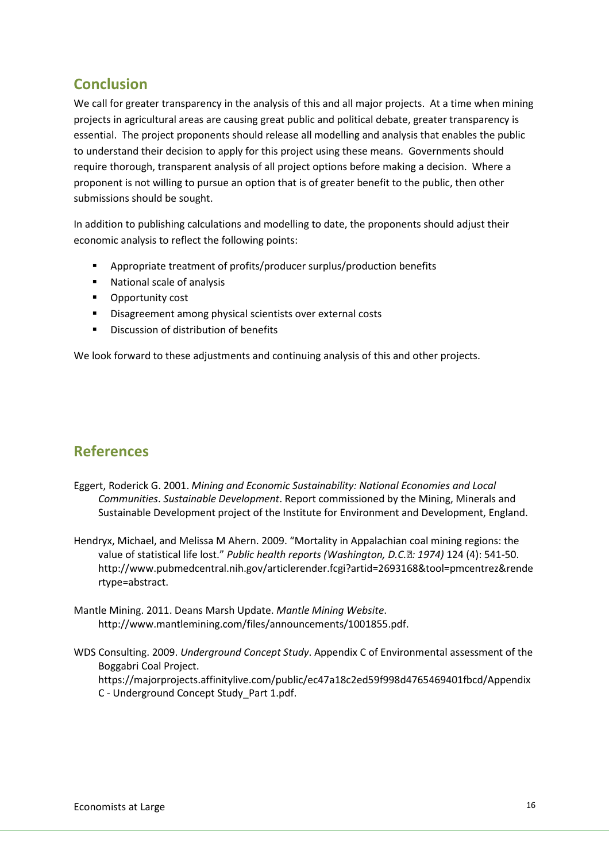# Conclusion

We call for greater transparency in the analysis of this and all major projects. At a time when mining projects in agricultural areas are causing great public and political debate, greater transparency is essential. The project proponents should release all modelling and analysis that enables the public to understand their decision to apply for this project using these means. Governments should require thorough, transparent analysis of all project options before making a decision. Where a proponent is not willing to pursue an option that is of greater benefit to the public, then other submissions should be sought.

In addition to publishing calculations and modelling to date, the proponents should adjust their economic analysis to reflect the following points:

- Appropriate treatment of profits/producer surplus/production benefits
- National scale of analysis
- **•** Opportunity cost
- **Disagreement among physical scientists over external costs**
- **Discussion of distribution of benefits**

We look forward to these adjustments and continuing analysis of this and other projects.

# References

- Eggert, Roderick G. 2001. Mining and Economic Sustainability: National Economies and Local Communities. Sustainable Development. Report commissioned by the Mining, Minerals and Sustainable Development project of the Institute for Environment and Development, England.
- Hendryx, Michael, and Melissa M Ahern. 2009. "Mortality in Appalachian coal mining regions: the value of statistical life lost." Public health reports (Washington, D.C. : 1974) 124 (4): 541-50. http://www.pubmedcentral.nih.gov/articlerender.fcgi?artid=2693168&tool=pmcentrez&rende rtype=abstract.
- Mantle Mining. 2011. Deans Marsh Update. Mantle Mining Website. http://www.mantlemining.com/files/announcements/1001855.pdf.
- WDS Consulting. 2009. Underground Concept Study. Appendix C of Environmental assessment of the Boggabri Coal Project.

https://majorprojects.affinitylive.com/public/ec47a18c2ed59f998d4765469401fbcd/Appendix C - Underground Concept Study\_Part 1.pdf.